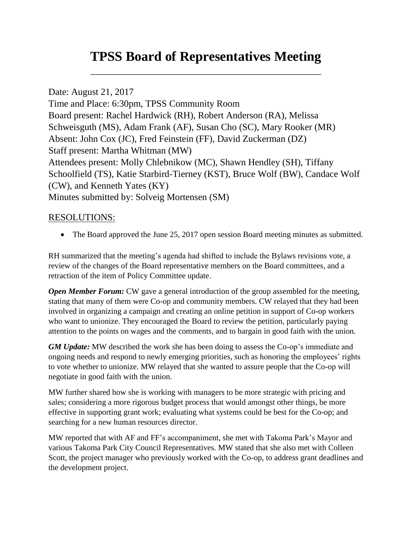# **TPSS Board of Representatives Meeting**

\_\_\_\_\_\_\_\_\_\_\_\_\_\_\_\_\_\_\_\_\_\_\_\_\_\_\_\_\_\_\_\_\_\_\_\_\_\_\_\_\_\_\_\_\_\_\_\_\_

Date: August 21, 2017 Time and Place: 6:30pm, TPSS Community Room Board present: Rachel Hardwick (RH), Robert Anderson (RA), Melissa Schweisguth (MS), Adam Frank (AF), Susan Cho (SC), Mary Rooker (MR) Absent: John Cox (JC), Fred Feinstein (FF), David Zuckerman (DZ) Staff present: Martha Whitman (MW) Attendees present: Molly Chlebnikow (MC), Shawn Hendley (SH), Tiffany Schoolfield (TS), Katie Starbird-Tierney (KST), Bruce Wolf (BW), Candace Wolf (CW), and Kenneth Yates (KY) Minutes submitted by: Solveig Mortensen (SM)

## RESOLUTIONS:

• The Board approved the June 25, 2017 open session Board meeting minutes as submitted.

RH summarized that the meeting's agenda had shifted to include the Bylaws revisions vote, a review of the changes of the Board representative members on the Board committees, and a retraction of the item of Policy Committee update.

*Open Member Forum:* CW gave a general introduction of the group assembled for the meeting, stating that many of them were Co-op and community members. CW relayed that they had been involved in organizing a campaign and creating an online petition in support of Co-op workers who want to unionize. They encouraged the Board to review the petition, particularly paying attention to the points on wages and the comments, and to bargain in good faith with the union.

*GM Update:* MW described the work she has been doing to assess the Co-op's immediate and ongoing needs and respond to newly emerging priorities, such as honoring the employees' rights to vote whether to unionize. MW relayed that she wanted to assure people that the Co-op will negotiate in good faith with the union.

MW further shared how she is working with managers to be more strategic with pricing and sales; considering a more rigorous budget process that would amongst other things, be more effective in supporting grant work; evaluating what systems could be best for the Co-op; and searching for a new human resources director.

MW reported that with AF and FF's accompaniment, she met with Takoma Park's Mayor and various Takoma Park City Council Representatives. MW stated that she also met with Colleen Scott, the project manager who previously worked with the Co-op, to address grant deadlines and the development project.